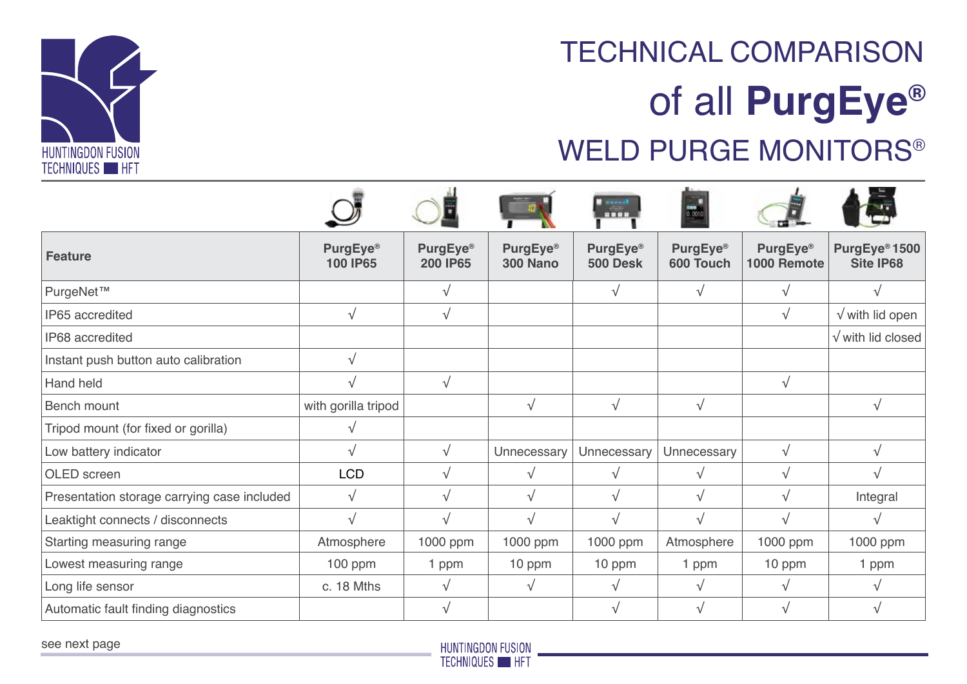

## WELD PURGE MONITORS® TECHNICAL COMPARISON of all **PurgEye®**

|                                             |                             |                             |                                         | <b>C</b> second<br>8809                 | $\frac{1}{0.001}$     |                         |                                        |
|---------------------------------------------|-----------------------------|-----------------------------|-----------------------------------------|-----------------------------------------|-----------------------|-------------------------|----------------------------------------|
| <b>Feature</b>                              | <b>PurgEye®</b><br>100 IP65 | <b>PurgEye®</b><br>200 IP65 | PurgEye <sup>®</sup><br><b>300 Nano</b> | PurgEye <sup>®</sup><br><b>500 Desk</b> | PurgEye®<br>600 Touch | PurgEye®<br>1000 Remote | PurgEye <sup>®</sup> 1500<br>Site IP68 |
| PurgeNet™                                   |                             | $\sqrt{ }$                  |                                         | $\sqrt{ }$                              | $\sqrt{ }$            | $\sqrt{ }$              |                                        |
| IP65 accredited                             | $\sqrt{ }$                  | $\sqrt{}$                   |                                         |                                         |                       | $\sqrt{ }$              | $\sqrt{}$ with lid open                |
| IP68 accredited                             |                             |                             |                                         |                                         |                       |                         | $\sqrt{}$ with lid closed              |
| Instant push button auto calibration        | $\sqrt{ }$                  |                             |                                         |                                         |                       |                         |                                        |
| Hand held                                   | $\sqrt{ }$                  | $\sqrt{}$                   |                                         |                                         |                       | $\sqrt{ }$              |                                        |
| Bench mount                                 | with gorilla tripod         |                             | $\sqrt{ }$                              | $\sqrt{}$                               | $\sqrt{ }$            |                         | $\sqrt{ }$                             |
| Tripod mount (for fixed or gorilla)         | $\sqrt{ }$                  |                             |                                         |                                         |                       |                         |                                        |
| Low battery indicator                       | $\sqrt{ }$                  | $\sqrt{ }$                  | Unnecessary                             | Unnecessary                             | Unnecessary           | $\sqrt{ }$              | $\sqrt{ }$                             |
| OLED screen                                 | <b>LCD</b>                  | $\sqrt{ }$                  | $\sqrt{ }$                              | $\sqrt{ }$                              | $\sqrt{ }$            | $\sqrt{ }$              |                                        |
| Presentation storage carrying case included | $\sqrt{}$                   | $\sqrt{ }$                  | $\sqrt{ }$                              | $\sqrt{ }$                              | $\sqrt{ }$            | $\sqrt{ }$              | Integral                               |
| Leaktight connects / disconnects            | $\sqrt{ }$                  | $\sqrt{ }$                  | $\sqrt{ }$                              | $\sqrt{ }$                              | $\sqrt{ }$            | $\sqrt{ }$              | $\sqrt{ }$                             |
| Starting measuring range                    | Atmosphere                  | 1000 ppm                    | 1000 ppm                                | 1000 ppm                                | Atmosphere            | 1000 ppm                | 1000 ppm                               |
| Lowest measuring range                      | $100$ ppm                   | 1 ppm                       | 10 ppm                                  | 10 ppm                                  | 1 ppm                 | 10 ppm                  | 1 ppm                                  |
| Long life sensor                            | c. 18 Mths                  | $\sqrt{ }$                  | $\sqrt{ }$                              | $\sqrt{ }$                              | $\sqrt{ }$            | $\sqrt{ }$              | √                                      |
| Automatic fault finding diagnostics         |                             | V                           |                                         | V                                       | V                     |                         |                                        |